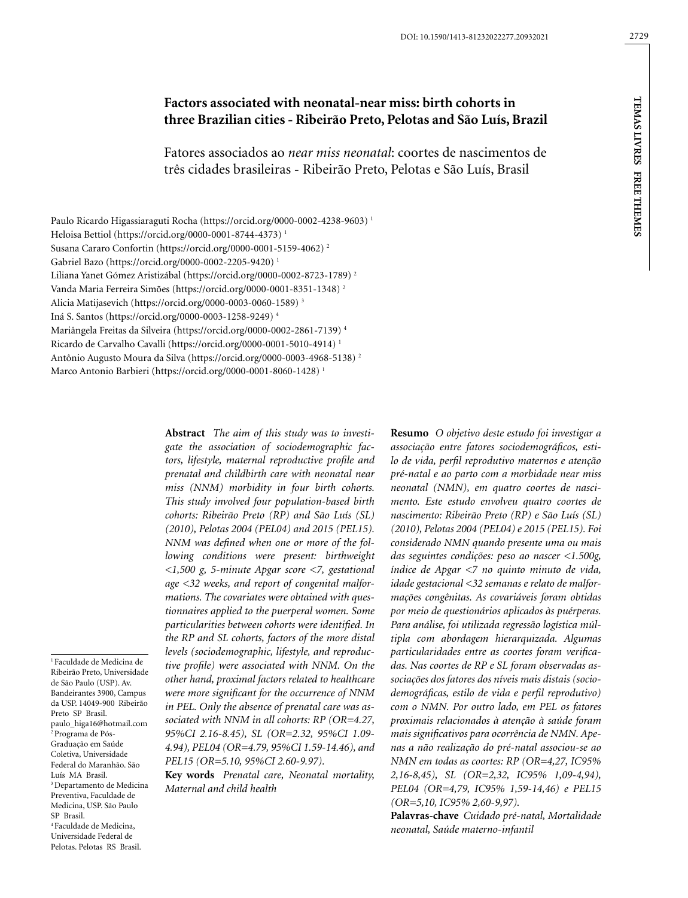# **Factors associated with neonatal-near miss: birth cohorts in three Brazilian cities - Ribeirão Preto, Pelotas and São Luís, Brazil**

Fatores associados ao *near miss neonatal*: coortes de nascimentos de três cidades brasileiras - Ribeirão Preto, Pelotas e São Luís, Brasil

Paulo Ricardo Higassiaraguti Rocha (https://orcid.org/0000-0002-4238-9603) 1 Heloisa Bettiol (https://orcid.org/0000-0001-8744-4373) 1 Susana Cararo Confortin (https://orcid.org/0000-0001-5159-4062) 2 Gabriel Bazo (https://orcid.org/0000-0002-2205-9420) 1 Liliana Yanet Gómez Aristizábal (https://orcid.org/0000-0002-8723-1789) 2 Vanda Maria Ferreira Simões (https://orcid.org/0000-0001-8351-1348) 2 Alicia Matijasevich (https://orcid.org/0000-0003-0060-1589) 3 Iná S. Santos (https://orcid.org/0000-0003-1258-9249) 4 Mariângela Freitas da Silveira (https://orcid.org/0000-0002-2861-7139) 4 Ricardo de Carvalho Cavalli (https://orcid.org/0000-0001-5010-4914) 1 Antônio Augusto Moura da Silva (https://orcid.org/0000-0003-4968-5138) 2 Marco Antonio Barbieri (https://orcid.org/0000-0001-8060-1428) 1

> **Abstract** *The aim of this study was to investigate the association of sociodemographic factors, lifestyle, maternal reproductive profile and prenatal and childbirth care with neonatal near miss (NNM) morbidity in four birth cohorts. This study involved four population-based birth cohorts: Ribeirão Preto (RP) and São Luís (SL) (2010), Pelotas 2004 (PEL04) and 2015 (PEL15). NNM was defined when one or more of the following conditions were present: birthweight <1,500 g, 5-minute Apgar score <7, gestational age <32 weeks, and report of congenital malformations. The covariates were obtained with questionnaires applied to the puerperal women. Some particularities between cohorts were identified. In the RP and SL cohorts, factors of the more distal levels (sociodemographic, lifestyle, and reproductive profile) were associated with NNM. On the other hand, proximal factors related to healthcare were more significant for the occurrence of NNM in PEL. Only the absence of prenatal care was associated with NNM in all cohorts: RP (OR=4.27, 95%CI 2.16-8.45), SL (OR=2.32, 95%CI 1.09- 4.94), PEL04 (OR=4.79, 95%CI 1.59-14.46), and PEL15 (OR=5.10, 95%CI 2.60-9.97).*

> **Key words** *Prenatal care, Neonatal mortality, Maternal and child health*

**Resumo** *O objetivo deste estudo foi investigar a associação entre fatores sociodemográficos, estilo de vida, perfil reprodutivo maternos e atenção pré-natal e ao parto com a morbidade near miss neonatal (NMN), em quatro coortes de nascimento. Este estudo envolveu quatro coortes de nascimento: Ribeirão Preto (RP) e São Luís (SL) (2010), Pelotas 2004 (PEL04) e 2015 (PEL15). Foi considerado NMN quando presente uma ou mais das seguintes condições: peso ao nascer <1.500g, índice de Apgar <7 no quinto minuto de vida, idade gestacional <32 semanas e relato de malformações congênitas. As covariáveis foram obtidas por meio de questionários aplicados às puérperas. Para análise, foi utilizada regressão logística múltipla com abordagem hierarquizada. Algumas particularidades entre as coortes foram verificadas. Nas coortes de RP e SL foram observadas associações dos fatores dos níveis mais distais (sociodemográficas, estilo de vida e perfil reprodutivo) com o NMN. Por outro lado, em PEL os fatores proximais relacionados à atenção à saúde foram mais significativos para ocorrência de NMN. Apenas a não realização do pré-natal associou-se ao NMN em todas as coortes: RP (OR=4,27, IC95% 2,16-8,45), SL (OR=2,32, IC95% 1,09-4,94), PEL04 (OR=4,79, IC95% 1,59-14,46) e PEL15 (OR=5,10, IC95% 2,60-9,97).*

**Palavras-chave** *Cuidado pré-natal, Mortalidade neonatal, Saúde materno-infantil*

1 Faculdade de Medicina de Ribeirão Preto, Universidade de São Paulo (USP). Av. Bandeirantes 3900, Campus da USP. 14049-900 Ribeirão Preto SP Brasil. paulo\_higa16@hotmail.com 2 Programa de Pós-Graduação em Saúde Coletiva, Universidade Federal do Maranhão. São Luís MA Brasil. 3 Departamento de Medicina Preventiva, Faculdade de Medicina, USP. São Paulo SP Brasil. 4 Faculdade de Medicina, Universidade Federal de Pelotas. Pelotas RS Brasil.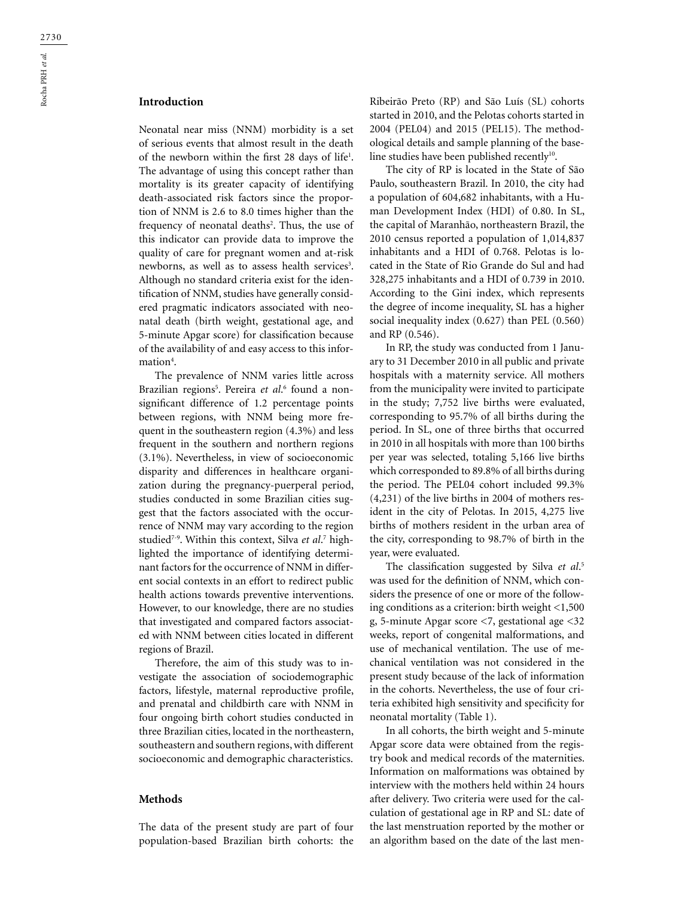# **Introduction**

Neonatal near miss (NNM) morbidity is a set of serious events that almost result in the death of the newborn within the first 28 days of life<sup>1</sup>. The advantage of using this concept rather than mortality is its greater capacity of identifying death-associated risk factors since the proportion of NNM is 2.6 to 8.0 times higher than the frequency of neonatal deaths<sup>2</sup>. Thus, the use of this indicator can provide data to improve the quality of care for pregnant women and at-risk newborns, as well as to assess health services<sup>3</sup>. Although no standard criteria exist for the identification of NNM, studies have generally considered pragmatic indicators associated with neonatal death (birth weight, gestational age, and 5-minute Apgar score) for classification because of the availability of and easy access to this information<sup>4</sup>.

The prevalence of NNM varies little across Brazilian regions<sup>5</sup>. Pereira *et al*.6 found a nonsignificant difference of 1.2 percentage points between regions, with NNM being more frequent in the southeastern region (4.3%) and less frequent in the southern and northern regions (3.1%). Nevertheless, in view of socioeconomic disparity and differences in healthcare organization during the pregnancy-puerperal period, studies conducted in some Brazilian cities suggest that the factors associated with the occurrence of NNM may vary according to the region studied7-9. Within this context, Silva *et al*. 7 highlighted the importance of identifying determinant factors for the occurrence of NNM in different social contexts in an effort to redirect public health actions towards preventive interventions. However, to our knowledge, there are no studies that investigated and compared factors associated with NNM between cities located in different regions of Brazil.

Therefore, the aim of this study was to investigate the association of sociodemographic factors, lifestyle, maternal reproductive profile, and prenatal and childbirth care with NNM in four ongoing birth cohort studies conducted in three Brazilian cities, located in the northeastern, southeastern and southern regions, with different socioeconomic and demographic characteristics.

### **Methods**

The data of the present study are part of four population-based Brazilian birth cohorts: the Ribeirão Preto (RP) and São Luís (SL) cohorts started in 2010, and the Pelotas cohorts started in 2004 (PEL04) and 2015 (PEL15). The methodological details and sample planning of the baseline studies have been published recently<sup>10</sup>.

The city of RP is located in the State of São Paulo, southeastern Brazil. In 2010, the city had a population of 604,682 inhabitants, with a Human Development Index (HDI) of 0.80. In SL, the capital of Maranhão, northeastern Brazil, the 2010 census reported a population of 1,014,837 inhabitants and a HDI of 0.768. Pelotas is located in the State of Rio Grande do Sul and had 328,275 inhabitants and a HDI of 0.739 in 2010. According to the Gini index, which represents the degree of income inequality, SL has a higher social inequality index (0.627) than PEL (0.560) and RP (0.546).

In RP, the study was conducted from 1 January to 31 December 2010 in all public and private hospitals with a maternity service. All mothers from the municipality were invited to participate in the study; 7,752 live births were evaluated, corresponding to 95.7% of all births during the period. In SL, one of three births that occurred in 2010 in all hospitals with more than 100 births per year was selected, totaling 5,166 live births which corresponded to 89.8% of all births during the period. The PEL04 cohort included 99.3% (4,231) of the live births in 2004 of mothers resident in the city of Pelotas. In 2015, 4,275 live births of mothers resident in the urban area of the city, corresponding to 98.7% of birth in the year, were evaluated.

The classification suggested by Silva *et al*. 5 was used for the definition of NNM, which considers the presence of one or more of the following conditions as a criterion: birth weight <1,500 g, 5-minute Apgar score <7, gestational age <32 weeks, report of congenital malformations, and use of mechanical ventilation. The use of mechanical ventilation was not considered in the present study because of the lack of information in the cohorts. Nevertheless, the use of four criteria exhibited high sensitivity and specificity for neonatal mortality (Table 1).

In all cohorts, the birth weight and 5-minute Apgar score data were obtained from the registry book and medical records of the maternities. Information on malformations was obtained by interview with the mothers held within 24 hours after delivery. Two criteria were used for the calculation of gestational age in RP and SL: date of the last menstruation reported by the mother or an algorithm based on the date of the last men-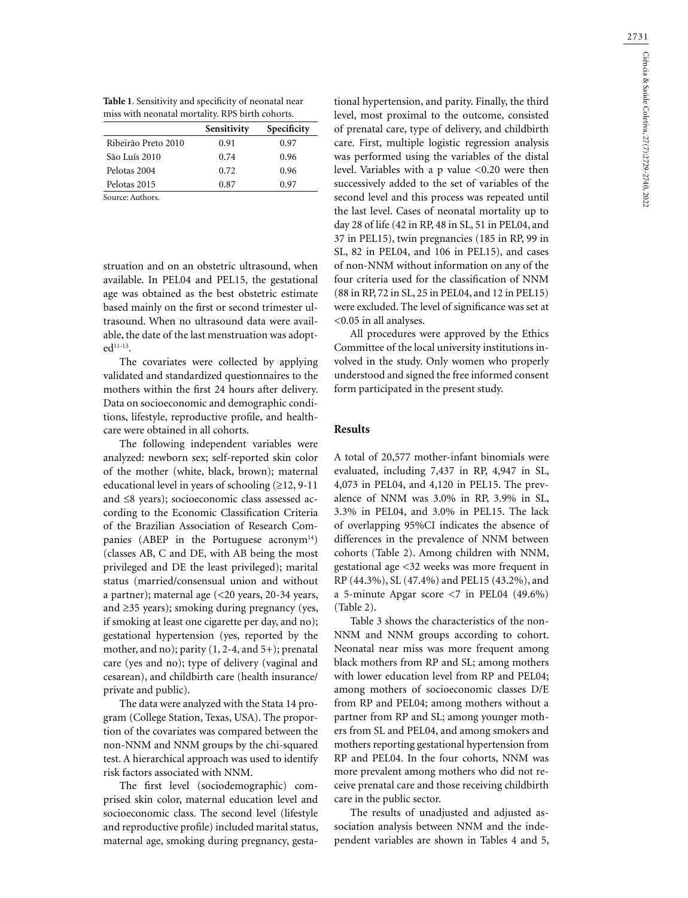2731

**Table 1**. Sensitivity and specificity of neonatal near miss with neonatal mortality. RPS birth cohorts.

|                     | Sensitivity | Specificity |
|---------------------|-------------|-------------|
| Ribeirão Preto 2010 | 0.91        | 0.97        |
| São Luís 2010       | 0.74        | 0.96        |
| Pelotas 2004        | 0.72        | 0.96        |
| Pelotas 2015        | 0.87        | 0.97        |
| Source: Authors.    |             |             |

struation and on an obstetric ultrasound, when available. In PEL04 and PEL15, the gestational age was obtained as the best obstetric estimate based mainly on the first or second trimester ultrasound. When no ultrasound data were available, the date of the last menstruation was adopt $ed^{11-13}$ .

The covariates were collected by applying validated and standardized questionnaires to the mothers within the first 24 hours after delivery. Data on socioeconomic and demographic conditions, lifestyle, reproductive profile, and healthcare were obtained in all cohorts.

The following independent variables were analyzed: newborn sex; self-reported skin color of the mother (white, black, brown); maternal educational level in years of schooling  $(≥12, 9-11)$ and ≤8 years); socioeconomic class assessed according to the Economic Classification Criteria of the Brazilian Association of Research Companies (ABEP in the Portuguese acronym<sup>14</sup>) (classes AB, C and DE, with AB being the most privileged and DE the least privileged); marital status (married/consensual union and without a partner); maternal age (<20 years, 20-34 years, and ≥35 years); smoking during pregnancy (yes, if smoking at least one cigarette per day, and no); gestational hypertension (yes, reported by the mother, and no); parity (1, 2-4, and 5+); prenatal care (yes and no); type of delivery (vaginal and cesarean), and childbirth care (health insurance/ private and public).

The data were analyzed with the Stata 14 program (College Station, Texas, USA). The proportion of the covariates was compared between the non-NNM and NNM groups by the chi-squared test. A hierarchical approach was used to identify risk factors associated with NNM.

The first level (sociodemographic) comprised skin color, maternal education level and socioeconomic class. The second level (lifestyle and reproductive profile) included marital status, maternal age, smoking during pregnancy, gesta-

tional hypertension, and parity. Finally, the third level, most proximal to the outcome, consisted of prenatal care, type of delivery, and childbirth care. First, multiple logistic regression analysis was performed using the variables of the distal level. Variables with a p value <0.20 were then successively added to the set of variables of the second level and this process was repeated until the last level. Cases of neonatal mortality up to day 28 of life (42 in RP, 48 in SL, 51 in PEL04, and 37 in PEL15), twin pregnancies (185 in RP, 99 in SL, 82 in PEL04, and 106 in PEL15), and cases of non-NNM without information on any of the four criteria used for the classification of NNM (88 in RP, 72 in SL, 25 in PEL04, and 12 in PEL15) were excluded. The level of significance was set at <0.05 in all analyses.

All procedures were approved by the Ethics Committee of the local university institutions involved in the study. Only women who properly understood and signed the free informed consent form participated in the present study.

# **Results**

A total of 20,577 mother-infant binomials were evaluated, including 7,437 in RP, 4,947 in SL, 4,073 in PEL04, and 4,120 in PEL15. The prevalence of NNM was 3.0% in RP, 3.9% in SL, 3.3% in PEL04, and 3.0% in PEL15. The lack of overlapping 95%CI indicates the absence of differences in the prevalence of NNM between cohorts (Table 2). Among children with NNM, gestational age <32 weeks was more frequent in RP (44.3%), SL (47.4%) and PEL15 (43.2%), and a 5-minute Apgar score  $\langle 7 \rangle$  in PEL04 (49.6%) (Table 2).

Table 3 shows the characteristics of the non-NNM and NNM groups according to cohort. Neonatal near miss was more frequent among black mothers from RP and SL; among mothers with lower education level from RP and PEL04; among mothers of socioeconomic classes D/E from RP and PEL04; among mothers without a partner from RP and SL; among younger mothers from SL and PEL04, and among smokers and mothers reporting gestational hypertension from RP and PEL04. In the four cohorts, NNM was more prevalent among mothers who did not receive prenatal care and those receiving childbirth care in the public sector.

The results of unadjusted and adjusted association analysis between NNM and the independent variables are shown in Tables 4 and 5,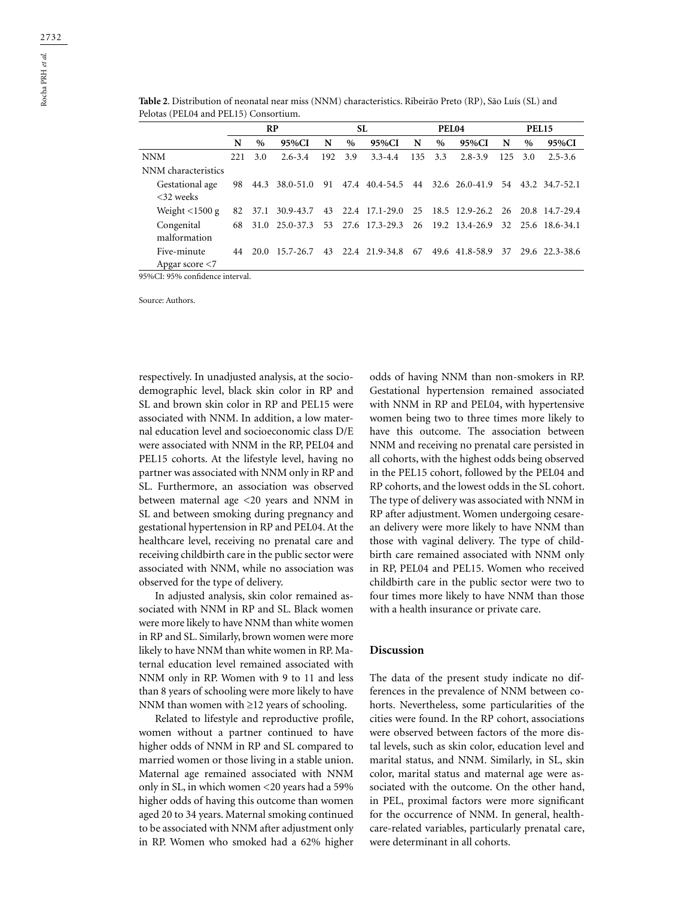|                                     | RP  |      |                |      |      | SL.                              |     | PEL04 |                                     | <b>PEL15</b> |      |                   |  |
|-------------------------------------|-----|------|----------------|------|------|----------------------------------|-----|-------|-------------------------------------|--------------|------|-------------------|--|
|                                     | N   | $\%$ | 95%CI          | N    | $\%$ | 95%CI                            | N   | $\%$  | 95%CI                               | N            | $\%$ | 95%CI             |  |
| <b>NNM</b>                          | 221 | 3.0  | $2.6 - 3.4$    | 192. | 3.9  | $3.3 - 4.4$                      | 135 | 3.3   | $2.8 - 3.9$                         | 125          | 3.0  | $2.5 - 3.6$       |  |
| NNM characteristics                 |     |      |                |      |      |                                  |     |       |                                     |              |      |                   |  |
| Gestational age<br>$<32$ weeks      | 98  | 44.3 | 38.0-51.0      | 91   |      | 47.4 40.4-54.5 44 32.6 26.0-41.9 |     |       |                                     |              |      | 54 43.2 34.7-52.1 |  |
| Weight $\langle$ 1500 g             | 82  | 37.1 | 30.9-43.7      |      |      | 43 22.4 17.1-29.0                |     |       | 25 18.5 12.9-26.2                   | 26           |      | 20.8 14.7-29.4    |  |
| Congenital<br>malformation          | 68  |      | 31.0 25.0-37.3 |      |      | 53 27.6 17.3-29.3                |     |       | 26 19.2 13.4-26.9 32 25.6 18.6-34.1 |              |      |                   |  |
| Five-minute<br>Apgar score $\leq 7$ | 44  | 20.0 | 15.7-26.7      | 43   |      | 22.4 21.9-34.8                   | 67  |       | 49.6 41.8-58.9                      | 37           |      | 29.6 22.3-38.6    |  |

**Table 2**. Distribution of neonatal near miss (NNM) characteristics. Ribeirão Preto (RP), São Luís (SL) and Pelotas (PEL04 and PEL15) Consortium.

95%CI: 95% confidence interval.

Source: Authors.

respectively. In unadjusted analysis, at the sociodemographic level, black skin color in RP and SL and brown skin color in RP and PEL15 were associated with NNM. In addition, a low maternal education level and socioeconomic class D/E were associated with NNM in the RP, PEL04 and PEL15 cohorts. At the lifestyle level, having no partner was associated with NNM only in RP and SL. Furthermore, an association was observed between maternal age <20 years and NNM in SL and between smoking during pregnancy and gestational hypertension in RP and PEL04. At the healthcare level, receiving no prenatal care and receiving childbirth care in the public sector were associated with NNM, while no association was observed for the type of delivery.

In adjusted analysis, skin color remained associated with NNM in RP and SL. Black women were more likely to have NNM than white women in RP and SL. Similarly, brown women were more likely to have NNM than white women in RP. Maternal education level remained associated with NNM only in RP. Women with 9 to 11 and less than 8 years of schooling were more likely to have NNM than women with ≥12 years of schooling.

Related to lifestyle and reproductive profile, women without a partner continued to have higher odds of NNM in RP and SL compared to married women or those living in a stable union. Maternal age remained associated with NNM only in SL, in which women <20 years had a 59% higher odds of having this outcome than women aged 20 to 34 years. Maternal smoking continued to be associated with NNM after adjustment only in RP. Women who smoked had a 62% higher

odds of having NNM than non-smokers in RP. Gestational hypertension remained associated with NNM in RP and PEL04, with hypertensive women being two to three times more likely to have this outcome. The association between NNM and receiving no prenatal care persisted in all cohorts, with the highest odds being observed in the PEL15 cohort, followed by the PEL04 and RP cohorts, and the lowest odds in the SL cohort. The type of delivery was associated with NNM in RP after adjustment. Women undergoing cesarean delivery were more likely to have NNM than those with vaginal delivery. The type of childbirth care remained associated with NNM only in RP, PEL04 and PEL15. Women who received childbirth care in the public sector were two to four times more likely to have NNM than those with a health insurance or private care.

# **Discussion**

The data of the present study indicate no differences in the prevalence of NNM between cohorts. Nevertheless, some particularities of the cities were found. In the RP cohort, associations were observed between factors of the more distal levels, such as skin color, education level and marital status, and NNM. Similarly, in SL, skin color, marital status and maternal age were associated with the outcome. On the other hand, in PEL, proximal factors were more significant for the occurrence of NNM. In general, healthcare-related variables, particularly prenatal care, were determinant in all cohorts.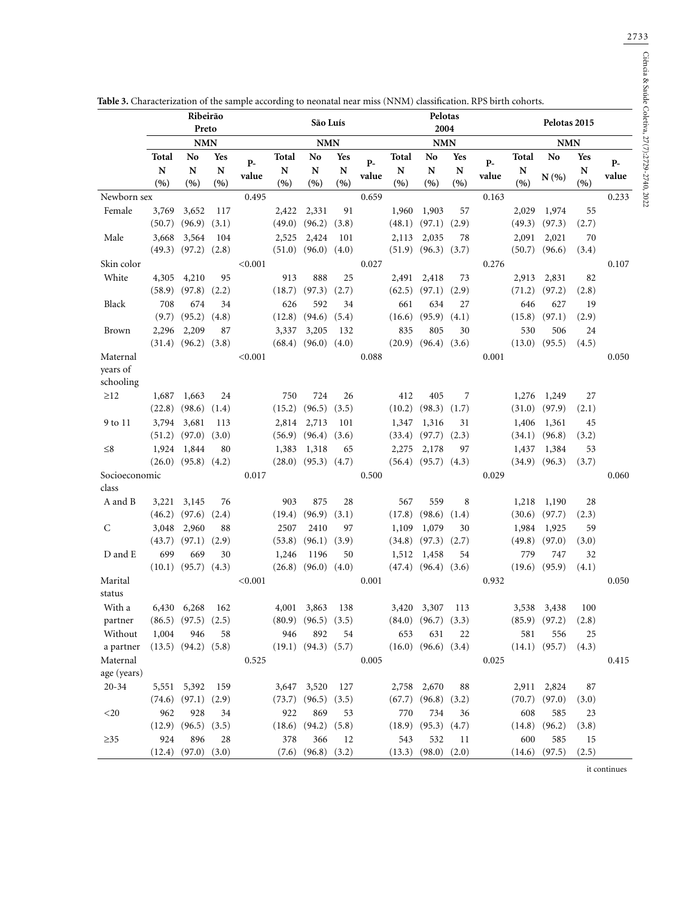|               |                  | Ribeirão<br>Preto         |             | São Luís      |                 |                           |             | Pelotas<br>2004 |                 |                           |            | Pelotas 2015  |                 |                   |                  |               |
|---------------|------------------|---------------------------|-------------|---------------|-----------------|---------------------------|-------------|-----------------|-----------------|---------------------------|------------|---------------|-----------------|-------------------|------------------|---------------|
|               | <b>NMN</b>       |                           |             |               | <b>NMN</b>      |                           |             | <b>NMN</b>      |                 |                           |            | <b>NMN</b>    |                 |                   |                  |               |
|               | Total            | No                        | Yes         |               | Total           | No                        | Yes         |                 | Total           | No                        | Yes        |               | Total           | N <sub>o</sub>    | <b>Yes</b>       |               |
|               | ${\bf N}$<br>(%) | ${\bf N}$<br>(9)          | N<br>(9)    | $P-$<br>value | N<br>(9)        | N<br>(%)                  | N<br>(%)    | $P-$<br>value   | N<br>(9)        | ${\bf N}$<br>(9)          | N<br>(9)   | $P-$<br>value | N<br>(9)        | N(%               | ${\bf N}$<br>(%) | $P-$<br>value |
| Newborn sex   |                  |                           |             | 0.495         |                 |                           |             | 0.659           |                 |                           |            | 0.163         |                 |                   |                  | 0.233         |
| Female        | 3,769            | 3,652                     | 117         |               | 2,422           | 2,331                     | 91          |                 | 1,960           | 1,903                     | 57         |               | 2,029           | 1,974             | 55               |               |
|               | (50.7)           | (96.9)                    | (3.1)       |               | (49.0)          | (96.2)                    | (3.8)       |                 | (48.1)          | (97.1)                    | (2.9)      |               | (49.3)          | (97.3)            | (2.7)            |               |
| Male          | 3,668            | 3,564                     | 104         |               | 2,525           | 2,424                     | 101         |                 | 2,113           | 2,035                     | 78         |               | 2,091           | 2,021             | 70               |               |
|               | (49.3)           | (97.2)                    | (2.8)       |               | (51.0)          | (96.0)                    | (4.0)       |                 | (51.9)          | (96.3)                    | (3.7)      |               | (50.7)          | (96.6)            | (3.4)            |               |
| Skin color    |                  |                           |             | < 0.001       |                 |                           |             | 0.027           |                 |                           |            | 0.276         |                 |                   |                  | 0.107         |
| White         | 4,305            | 4,210                     | 95          |               | 913             | 888                       | 25          |                 | 2,491           | 2,418                     | 73         |               | 2,913           | 2,831             | 82               |               |
|               | (58.9)           | (97.8)                    | (2.2)       |               | (18.7)          | (97.3)                    | (2.7)       |                 | (62.5)          | (97.1)                    | (2.9)      |               | (71.2)          | (97.2)            | (2.8)            |               |
| Black         | 708              | 674                       | 34          |               | 626             | 592                       | 34          |                 | 661             | 634                       | 27         |               | 646             | 627               | 19               |               |
|               | (9.7)            | (95.2)                    | (4.8)       |               | (12.8)          | (94.6)                    | (5.4)       |                 | (16.6)          | (95.9)                    | (4.1)      |               | (15.8)          | (97.1)            | (2.9)            |               |
| Brown         | 2,296            | 2,209                     | 87          |               | 3,337           | 3,205                     | 132         |                 | 835             | 805                       | 30         |               | 530             | 506               | 24               |               |
|               |                  | $(31.4)$ $(96.2)$         | (3.8)       |               | (68.4)          | (96.0)                    | (4.0)       |                 | (20.9)          | (96.4)                    | (3.6)      |               | (13.0)          | (95.5)            | (4.5)            |               |
| Maternal      |                  |                           |             | < 0.001       |                 |                           |             | 0.088           |                 |                           |            | 0.001         |                 |                   |                  | 0.050         |
| years of      |                  |                           |             |               |                 |                           |             |                 |                 |                           |            |               |                 |                   |                  |               |
| schooling     |                  |                           |             |               |                 |                           |             |                 |                 |                           |            |               |                 |                   |                  |               |
| $\geq$ 12     | 1,687<br>(22.8)  | 1,663<br>(98.6)           | 24<br>(1.4) |               | 750<br>(15.2)   | 724<br>(96.5)             | 26<br>(3.5) |                 | 412<br>(10.2)   | 405<br>(98.3)             | 7<br>(1.7) |               | 1,276<br>(31.0) | 1,249<br>(97.9)   | 27<br>(2.1)      |               |
|               |                  | 3,681                     | 113         |               |                 |                           | 101         |                 |                 |                           | 31         |               |                 |                   |                  |               |
| 9 to 11       | 3,794<br>(51.2)  | (97.0)                    | (3.0)       |               | 2,814<br>(56.9) | 2,713<br>(96.4)           | (3.6)       |                 | 1,347<br>(33.4) | 1,316<br>(97.7)           | (2.3)      |               | 1,406<br>(34.1) | 1,361<br>(96.8)   | 45<br>(3.2)      |               |
| $\leq 8$      | 1,924            | 1,844                     | 80          |               | 1,383           | 1,318                     | 65          |                 | 2,275           | 2,178                     | 97         |               | 1,437           | 1,384             | 53               |               |
|               | (26.0)           | (95.8)                    | (4.2)       |               | (28.0)          | (95.3)                    | (4.7)       |                 | (56.4)          | (95.7)                    | (4.3)      |               | (34.9)          | (96.3)            | (3.7)            |               |
| Socioeconomic |                  |                           |             | 0.017         |                 |                           |             | 0.500           |                 |                           |            | 0.029         |                 |                   |                  | 0.060         |
| class         |                  |                           |             |               |                 |                           |             |                 |                 |                           |            |               |                 |                   |                  |               |
| A and B       | 3,221            | 3,145                     | 76          |               | 903             | 875                       | 28          |                 | 567             | 559                       | 8          |               | 1,218           | 1,190             | 28               |               |
|               | (46.2)           | (97.6)                    | (2.4)       |               | (19.4)          | (96.9)                    | (3.1)       |                 | (17.8)          | (98.6)                    | (1.4)      |               | (30.6)          | (97.7)            | (2.3)            |               |
| C             | 3,048            | 2,960                     | 88          |               | 2507            | 2410                      | 97          |                 | 1,109           | 1,079                     | 30         |               | 1,984           | 1,925             | 59               |               |
|               | (43.7)           | (97.1)                    | (2.9)       |               | (53.8)          | (96.1)                    | (3.9)       |                 | (34.8)          | (97.3)                    | (2.7)      |               | (49.8)          | (97.0)            | (3.0)            |               |
| D and E       | 699              | 669                       | 30          |               | 1,246           | 1196                      | 50          |                 | 1,512           | 1,458                     | 54         |               | 779             | 747               | 32               |               |
|               | (10.1)           | (95.7)                    | (4.3)       |               | (26.8)          | (96.0)                    | (4.0)       |                 | (47.4)          | (96.4)                    | (3.6)      |               | (19.6)          | (95.9)            | (4.1)            |               |
| Marital       |                  |                           |             | < 0.001       |                 |                           |             | 0.001           |                 |                           |            | 0.932         |                 |                   |                  | 0.050         |
| status        |                  |                           |             |               |                 |                           |             |                 |                 |                           |            |               |                 |                   |                  |               |
| With a        |                  | 6,430 6,268               | 162         |               |                 | 4,001 3,863 138           |             |                 |                 | 3,420 3,307 113           |            |               |                 | 3,538 3,438       | 100              |               |
| partner       |                  | $(86.5)$ $(97.5)$ $(2.5)$ |             |               |                 | $(80.9)$ $(96.5)$ $(3.5)$ |             |                 |                 | $(84.0)$ $(96.7)$ $(3.3)$ |            |               |                 | $(85.9)$ $(97.2)$ | (2.8)            |               |
| Without       | 1,004            | 946                       | 58          |               | 946             | 892                       | 54          |                 | 653             | 631                       | 22         |               | 581             | 556               | 25               |               |
| a partner     |                  | $(13.5)$ $(94.2)$ $(5.8)$ |             |               |                 | $(19.1)$ $(94.3)$ $(5.7)$ |             |                 |                 | $(16.0)$ $(96.6)$ $(3.4)$ |            |               |                 | $(14.1)$ $(95.7)$ | (4.3)            |               |
| Maternal      |                  |                           |             | 0.525         |                 |                           |             | 0.005           |                 |                           |            | 0.025         |                 |                   |                  | 0.415         |
| age (years)   |                  |                           |             |               |                 |                           |             |                 |                 |                           |            |               |                 |                   |                  |               |
| $20 - 34$     |                  | 5,551 5,392               | 159         |               |                 | 3,647 3,520               | 127         |                 |                 | 2,758 2,670               | 88         |               |                 | 2,911 2,824       | 87               |               |
|               |                  | $(74.6)$ $(97.1)$         | (2.9)       |               |                 | $(73.7)$ $(96.5)$ $(3.5)$ |             |                 |                 | $(67.7)$ $(96.8)$ $(3.2)$ |            |               |                 | $(70.7)$ $(97.0)$ | (3.0)            |               |
| $20$          | 962              | 928                       | 34          |               | 922             | 869                       | 53          |                 | 770             | 734                       | 36         |               | 608             | 585               | 23               |               |
|               |                  | $(12.9)$ $(96.5)$ $(3.5)$ |             |               |                 | $(18.6)$ $(94.2)$ $(5.8)$ |             |                 |                 | $(18.9)$ $(95.3)$ $(4.7)$ |            |               |                 | $(14.8)$ $(96.2)$ | (3.8)            |               |
| $\geq 35$     | 924              | 896                       | 28          |               | 378             | 366                       | 12          |                 | 543             | 532                       | 11         |               | 600             | 585               | 15               |               |
|               |                  | $(12.4)$ $(97.0)$ $(3.0)$ |             |               |                 | $(7.6)$ $(96.8)$ $(3.2)$  |             |                 |                 | $(13.3)$ $(98.0)$ $(2.0)$ |            |               |                 | $(14.6)$ $(97.5)$ | (2.5)            |               |

it continues

2733<br>
2733<br>
2733<br>
2733<br>
2733<br>
2733<br>
2733<br>
2733<br>
2733<br>
2733<br>
2733<br>
2733<br>
2733<br>
2733<br>
2733<br>
2733<br>
2733<br>
2733<br>
2733<br>
2733<br>
2733<br>
2733<br>
2733<br>
2733<br>
2733<br>
2733<br>
2733<br>
2733<br>
2733<br>
2733<br>
2733<br>
2733<br>
2733<br>
2733<br>
2733<br>
2733<br>
2733<br> Ciência & Saúde Coletiva, 27(7):2729-2740, 2022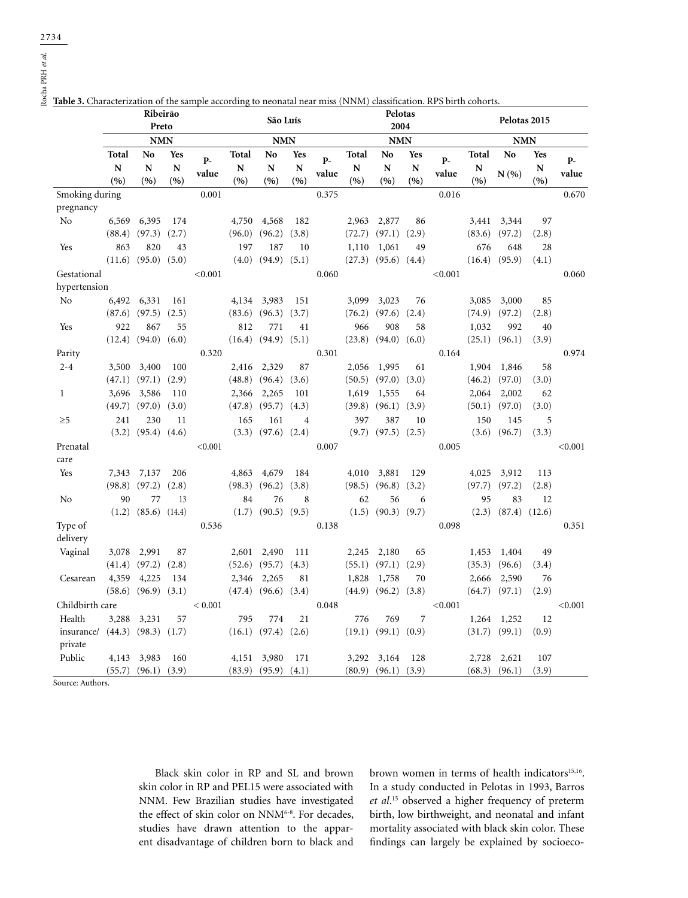Rocha PRH *et al.*

|                       | Ribeirão<br>Preto |                          |                        |             | São Luís          |                          |                                         |             | Pelotas<br>2004<br><b>NMN</b> |                           |                           |             | Pelotas 2015<br><b>NMN</b> |                       |                   |               |
|-----------------------|-------------------|--------------------------|------------------------|-------------|-------------------|--------------------------|-----------------------------------------|-------------|-------------------------------|---------------------------|---------------------------|-------------|----------------------------|-----------------------|-------------------|---------------|
|                       | <b>NMN</b>        |                          |                        | <b>NMN</b>  |                   |                          |                                         |             |                               |                           |                           |             |                            |                       |                   |               |
|                       | Total<br>N<br>(9) | No<br>${\bf N}$<br>(9)   | <b>Yes</b><br>N<br>(%) | P-<br>value | Total<br>N<br>(9) | No<br>$\mathbf N$<br>(9) | <b>Yes</b><br>$\overline{\bf N}$<br>(9) | P-<br>value | Total<br>N<br>(9)             | No<br>${\bf N}$<br>(9)    | Yes<br>$\mathbf N$<br>(9) | P-<br>value | Total<br>N<br>(9/6)        | N <sub>o</sub><br>N(% | Yes<br>N<br>(9/6) | $P-$<br>value |
| Smoking during        |                   |                          |                        | 0.001       |                   |                          |                                         | 0.375       |                               |                           |                           | 0.016       |                            |                       |                   | 0.670         |
| pregnancy             |                   |                          |                        |             |                   |                          |                                         |             |                               |                           |                           |             |                            |                       |                   |               |
| No                    | 6,569             | 6,395                    | 174                    |             | 4,750             | 4,568                    | 182                                     |             | 2,963                         | 2,877                     | 86                        |             | 3,441                      | 3,344                 | 97                |               |
|                       | (88.4)            | (97.3)                   | (2.7)                  |             | (96.0)            | (96.2)                   | (3.8)                                   |             | (72.7)                        | $(97.1)$ $(2.9)$          |                           |             | (83.6)                     | (97.2)                | (2.8)             |               |
| Yes                   | 863               | 820                      | 43                     |             | 197               | 187                      | 10                                      |             | 1,110                         | 1,061                     | 49                        |             | 676                        | 648                   | 28                |               |
|                       | (11.6)            | (95.0)                   | (5.0)                  |             | (4.0)             | (94.9)                   | (5.1)                                   |             |                               | $(27.3)$ $(95.6)$ $(4.4)$ |                           |             | (16.4)                     | (95.9)                | (4.1)             |               |
| Gestational           |                   |                          |                        | < 0.001     |                   |                          |                                         | 0.060       |                               |                           |                           | < 0.001     |                            |                       |                   | 0.060         |
| hypertension          |                   |                          |                        |             |                   |                          |                                         |             |                               |                           |                           |             |                            |                       |                   |               |
| No                    | 6,492             | 6,331                    | 161                    |             | 4,134             | 3,983                    | 151                                     |             | 3,099                         | 3,023                     | 76                        |             | 3,085                      | 3,000                 | 85                |               |
|                       | (87.6)            | (97.5)                   | (2.5)                  |             | (83.6)            | (96.3)                   | (3.7)                                   |             | (76.2)                        | (97.6)                    | (2.4)                     |             | (74.9)                     | (97.2)                | (2.8)             |               |
| Yes                   | 922               | 867                      | 55                     |             | 812               | 771                      | 41                                      |             | 966                           | 908                       | 58                        |             | 1,032                      | 992                   | 40                |               |
|                       | (12.4)            | (94.0)                   | (6.0)                  |             |                   | $(16.4)$ $(94.9)$        | (5.1)                                   |             |                               | $(23.8)$ $(94.0)$         | (6.0)                     |             | (25.1)                     | (96.1)                | (3.9)             |               |
| Parity                |                   |                          |                        | 0.320       |                   |                          |                                         | 0.301       |                               |                           |                           | 0.164       |                            |                       |                   | 0.974         |
| $2 - 4$               | 3,500             | 3,400                    | 100                    |             | 2,416             | 2,329                    | 87                                      |             | 2,056                         | 1,995                     | 61                        |             | 1,904                      | 1,846                 | 58                |               |
|                       | (47.1)            | (97.1)                   | (2.9)                  |             | (48.8)            | (96.4)                   | (3.6)                                   |             |                               | $(50.5)$ $(97.0)$ $(3.0)$ |                           |             | (46.2)                     | (97.0)                | (3.0)             |               |
| $\mathbf{1}$          | 3,696             | 3,586                    | 110                    |             | 2,366             | 2,265                    | 101                                     |             | 1,619                         | 1,555                     | 64                        |             | 2,064                      | 2,002                 | 62                |               |
|                       | (49.7)            | (97.0)                   | (3.0)                  |             | (47.8)            | (95.7)                   | (4.3)                                   |             | (39.8)                        | (96.1)                    | (3.9)                     |             | (50.1)                     | (97.0)                | (3.0)             |               |
| $\geq 5$              | 241               | 230                      | 11                     |             | 165               | 161                      | $\overline{4}$                          |             | 397                           | 387                       | 10                        |             | 150                        | 145                   | 5                 |               |
|                       |                   | $(3.2)$ $(95.4)$ $(4.6)$ |                        |             |                   | $(3.3)$ $(97.6)$ $(2.4)$ |                                         |             |                               | $(9.7)$ $(97.5)$ $(2.5)$  |                           |             | (3.6)                      | (96.7)                | (3.3)             |               |
| Prenatal              |                   |                          |                        | < 0.001     |                   |                          |                                         | 0.007       |                               |                           |                           | 0.005       |                            |                       |                   | < 0.001       |
| care                  |                   |                          |                        |             |                   |                          |                                         |             |                               |                           |                           |             |                            |                       |                   |               |
| Yes                   | 7,343             | 7,137                    | 206                    |             | 4,863             | 4,679                    | 184                                     |             | 4,010                         | 3,881                     | 129                       |             | 4,025                      | 3,912                 | 113               |               |
|                       | (98.8)            | (97.2)                   | (2.8)                  |             | (98.3)            | (96.2)                   | (3.8)                                   |             | (98.5)                        | (96.8)                    | (3.2)                     |             | (97.7)                     | (97.2)                | (2.8)             |               |
| No                    | 90                | 77                       | 13                     |             | 84                | 76                       | 8                                       |             | 62                            | 56                        | 6                         |             | 95                         | 83                    | 12                |               |
|                       | (1.2)             | (85.6)                   | (14.4)                 |             | (1.7)             | (90.5)                   | (9.5)                                   |             | (1.5)                         | (90.3)                    | (9.7)                     |             | (2.3)                      | (87.4)                | (12.6)            |               |
| Type of               |                   |                          |                        | 0.536       |                   |                          |                                         | 0.138       |                               |                           |                           | 0.098       |                            |                       |                   | 0.351         |
| delivery              |                   |                          |                        |             |                   |                          |                                         |             |                               |                           |                           |             |                            |                       |                   |               |
| Vaginal               | 3,078             | 2,991                    | 87                     |             | 2,601             | 2,490                    | 111                                     |             | 2,245                         | 2,180                     | 65                        |             | 1,453                      | 1,404                 | 49                |               |
|                       | (41.4)            | (97.2)                   | (2.8)                  |             |                   | $(52.6)$ $(95.7)$        | (4.3)                                   |             | (55.1)                        | $(97.1)$ $(2.9)$          |                           |             | (35.3)                     | (96.6)                | (3.4)             |               |
| Cesarean              | 4,359             | 4,225                    | 134                    |             | 2,346             | 2,265                    | 81                                      |             | 1,828                         | 1,758                     | 70                        |             | 2,666                      | 2,590                 | 76                |               |
|                       | (58.6)            | (96.9)                   | (3.1)                  |             | (47.4)            | (96.6)                   | (3.4)                                   |             | (44.9)                        | (96.2)                    | (3.8)                     |             | (64.7)                     | (97.1)                | (2.9)             |               |
| Childbirth care       |                   |                          |                        | < 0.001     |                   |                          |                                         | 0.048       |                               |                           |                           | < 0.001     |                            |                       |                   | < 0.001       |
| Health                | 3,288             | 3,231                    | 57                     |             | 795               | 774                      | 21                                      |             | 776                           | 769                       | 7                         |             | 1,264                      | 1,252                 | 12                |               |
| insurance/<br>private |                   | $(44.3)$ $(98.3)$        | (1.7)                  |             |                   | $(16.1)$ $(97.4)$        | (2.6)                                   |             |                               | $(19.1)$ $(99.1)$         | (0.9)                     |             | (31.7)                     | (99.1)                | (0.9)             |               |
| Public                | 4,143             | 3,983                    | 160                    |             | 4,151             | 3,980                    | 171                                     |             | 3,292                         | 3,164                     | 128                       |             | 2,728                      | 2,621                 | 107               |               |
|                       |                   | $(55.7)$ $(96.1)$        | (3.9)                  |             |                   | $(83.9)$ $(95.9)$        | (4.1)                                   |             |                               | $(80.9)$ $(96.1)$         | (3.9)                     |             | (68.3)                     | (96.1)                | (3.9)             |               |

**Table 3.** Characterization of the sample according to neonatal near miss (NNM) classification. RPS birth cohorts.

Source: Authors.

Black skin color in RP and SL and brown skin color in RP and PEL15 were associated with NNM. Few Brazilian studies have investigated the effect of skin color on NNM<sup>6-8</sup>. For decades, studies have drawn attention to the apparent disadvantage of children born to black and

brown women in terms of health indicators<sup>15,16</sup>. In a study conducted in Pelotas in 1993, Barros *et al*. 15 observed a higher frequency of preterm birth, low birthweight, and neonatal and infant mortality associated with black skin color. These findings can largely be explained by socioeco-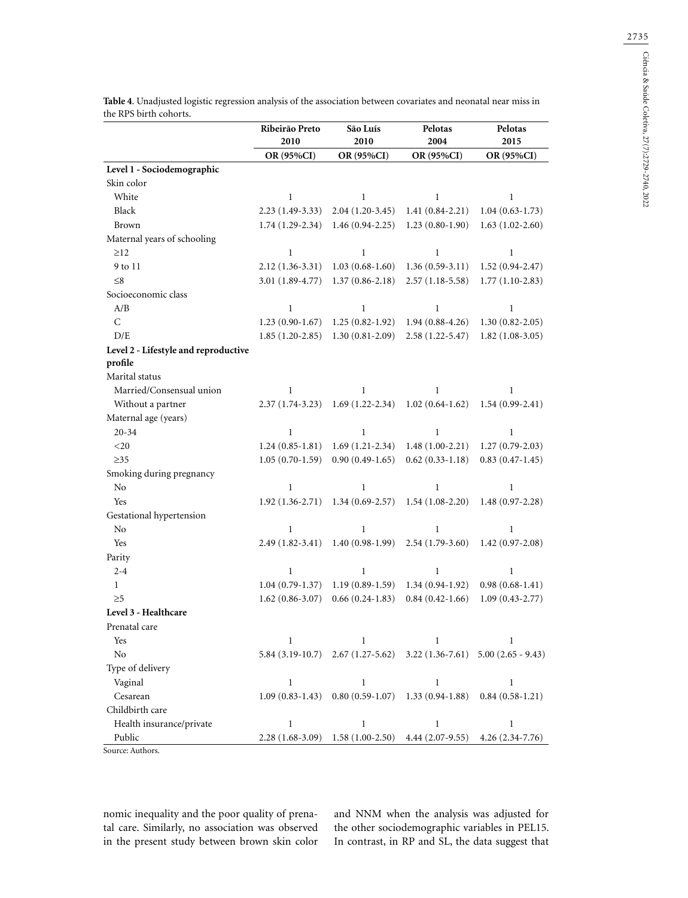|                                      | Ribeirão Preto<br>2010 | São Luís<br>2010                                   | Pelotas<br>2004     | Pelotas<br>2015                                                               |
|--------------------------------------|------------------------|----------------------------------------------------|---------------------|-------------------------------------------------------------------------------|
|                                      | OR (95%CI)             | OR (95%CI)                                         | OR (95%CI)          | OR (95%CI)                                                                    |
| Level 1 - Sociodemographic           |                        |                                                    |                     |                                                                               |
| Skin color                           |                        |                                                    |                     |                                                                               |
| White                                | $\mathbf{1}$           | $\mathbf{1}$                                       | $\mathbf{1}$        | $\mathbf{1}$                                                                  |
| Black                                | $2.23(1.49-3.33)$      | $2.04(1.20-3.45)$                                  | $1.41(0.84-2.21)$   | $1.04(0.63-1.73)$                                                             |
| <b>Brown</b>                         | $1.74(1.29-2.34)$      | $1.46(0.94-2.25)$                                  | $1.23(0.80-1.90)$   | $1.63(1.02 - 2.60)$                                                           |
| Maternal years of schooling          |                        |                                                    |                     |                                                                               |
| $\geq$ 12                            | $\mathbf{1}$           | $\mathbf{1}$                                       | $\mathbf{1}$        | $\mathbf{1}$                                                                  |
| 9 to 11                              | $2.12(1.36-3.31)$      | $1.03(0.68-1.60)$                                  | $1.36(0.59-3.11)$   | $1.52(0.94 - 2.47)$                                                           |
| $\leq 8$                             | 3.01 (1.89-4.77)       | $1.37(0.86 - 2.18)$                                | $2.57(1.18-5.58)$   | $1.77(1.10-2.83)$                                                             |
| Socioeconomic class                  |                        |                                                    |                     |                                                                               |
| A/B                                  | $\mathbf{1}$           | $\mathbf{1}$                                       | $\mathbf 1$         | $\mathbf{1}$                                                                  |
| $\mathsf{C}$                         | $1.23(0.90-1.67)$      | $1.25(0.82 - 1.92)$                                | $1.94(0.88-4.26)$   | $1.30(0.82 - 2.05)$                                                           |
| D/E                                  | $1.85(1.20-2.85)$      | $1.30(0.81 - 2.09)$                                | $2.58(1.22 - 5.47)$ | $1.82(1.08-3.05)$                                                             |
| Level 2 - Lifestyle and reproductive |                        |                                                    |                     |                                                                               |
| profile                              |                        |                                                    |                     |                                                                               |
| Marital status                       |                        |                                                    |                     |                                                                               |
| Married/Consensual union             | 1                      | 1                                                  | 1                   | 1                                                                             |
| Without a partner                    | $2.37(1.74-3.23)$      | $1.69(1.22-2.34)$                                  | $1.02(0.64-1.62)$   | $1.54(0.99-2.41)$                                                             |
| Maternal age (years)                 |                        |                                                    |                     |                                                                               |
| $20 - 34$                            | $\mathbf{1}$           | $\mathbf{1}$                                       | $\mathbf{1}$        | $\mathbf{1}$                                                                  |
| $<$ 20 $\,$                          | $1.24(0.85-1.81)$      | $1.69(1.21-2.34)$                                  | $1.48(1.00-2.21)$   | $1.27(0.79-2.03)$                                                             |
| $\geq$ 35                            | $1.05(0.70-1.59)$      | $0.90(0.49-1.65)$                                  | $0.62(0.33-1.18)$   | $0.83(0.47-1.45)$                                                             |
| Smoking during pregnancy             |                        |                                                    |                     |                                                                               |
| N <sub>o</sub>                       | $\mathbf{1}$           | $\mathbf{1}$                                       | 1                   | $\mathbf{1}$                                                                  |
| Yes                                  | $1.92(1.36-2.71)$      | $1.34(0.69 - 2.57)$                                | $1.54(1.08-2.20)$   | $1.48(0.97 - 2.28)$                                                           |
| Gestational hypertension             |                        |                                                    |                     |                                                                               |
| N <sub>o</sub>                       | $\mathbf{1}$           | $\mathbf{1}$                                       | $\mathbf 1$         | $\mathbf{1}$                                                                  |
| Yes                                  | $2.49(1.82-3.41)$      | $1.40(0.98-1.99)$                                  | $2.54(1.79-3.60)$   | $1.42(0.97 - 2.08)$                                                           |
| Parity                               |                        |                                                    |                     |                                                                               |
| $2 - 4$                              | $\mathbf{1}$           | $\mathbf{1}$                                       | $\mathbf{1}$        | $\mathbf{1}$                                                                  |
| $\mathbf{1}$                         | $1.04(0.79-1.37)$      | $1.19(0.89-1.59)$                                  | $1.34(0.94-1.92)$   | $0.98(0.68-1.41)$                                                             |
| $\geq 5$                             | $1.62(0.86 - 3.07)$    | $0.66(0.24-1.83)$                                  | $0.84(0.42 - 1.66)$ | $1.09(0.43 - 2.77)$                                                           |
| Level 3 - Healthcare                 |                        |                                                    |                     |                                                                               |
| Prenatal care                        |                        |                                                    |                     |                                                                               |
| Yes                                  | $\mathbf{1}$           | $\mathbf{1}$                                       | $\mathbf{1}$        | $\mathbf{1}$                                                                  |
| N <sub>o</sub>                       |                        |                                                    |                     | $5.84$ (3.19-10.7) $2.67$ (1.27-5.62) $3.22$ (1.36-7.61) $5.00$ (2.65 - 9.43) |
| Type of delivery                     |                        |                                                    |                     |                                                                               |
| Vaginal                              | $\mathbf{1}$           | $\mathbf{1}$                                       | $\mathbf{1}$        | $\mathbf{1}$                                                                  |
| Cesarean                             | $1.09(0.83-1.43)$      | $0.80(0.59-1.07)$                                  | $1.33(0.94-1.88)$   | $0.84(0.58-1.21)$                                                             |
| Childbirth care                      |                        |                                                    |                     |                                                                               |
| Health insurance/private             | $\mathbf{1}$           | $\mathbf{1}$                                       | $\mathbf{1}$        | $\mathbf{1}$                                                                  |
| Public                               |                        | 2.28 (1.68-3.09) 1.58 (1.00-2.50) 4.44 (2.07-9.55) |                     | $4.26(2.34-7.76)$                                                             |

**Table 4**. Unadjusted logistic regression analysis of the association between covariates and neonatal near miss in the RPS birth cohorts.

Source: Authors.

nomic inequality and the poor quality of prenatal care. Similarly, no association was observed in the present study between brown skin color and NNM when the analysis was adjusted for the other sociodemographic variables in PEL15. In contrast, in RP and SL, the data suggest that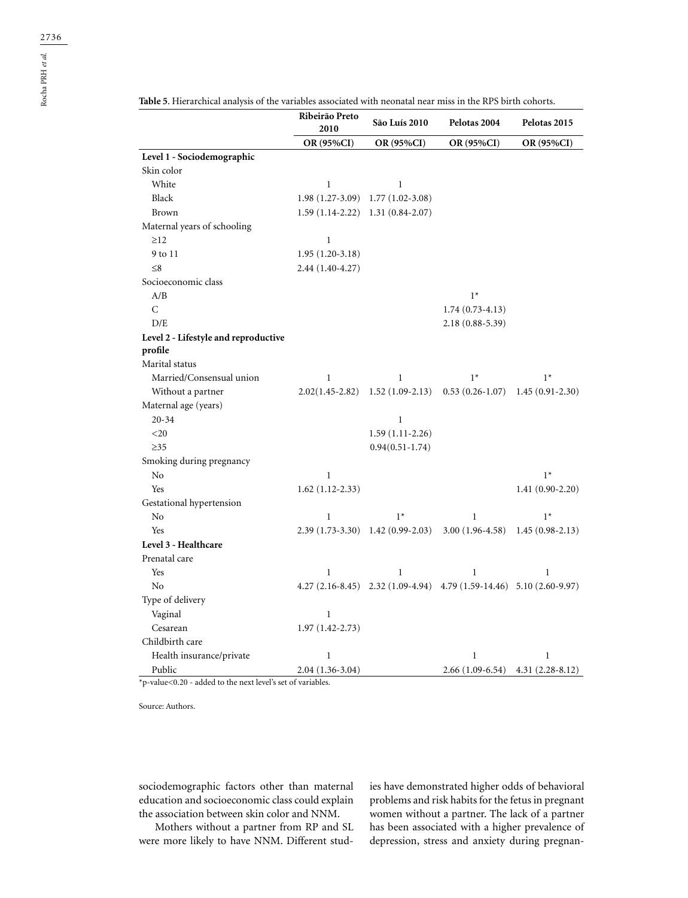|                                      | <b>OR (95%CI)</b>   | <b>OR (95%CI)</b>                   | <b>OR (95%CI)</b>                                                    | OR (95%CI)          |
|--------------------------------------|---------------------|-------------------------------------|----------------------------------------------------------------------|---------------------|
| Level 1 - Sociodemographic           |                     |                                     |                                                                      |                     |
| Skin color                           |                     |                                     |                                                                      |                     |
| White                                | $\mathbf{1}$        | $\mathbf{1}$                        |                                                                      |                     |
| Black                                | $1.98(1.27-3.09)$   | $1.77(1.02-3.08)$                   |                                                                      |                     |
| <b>Brown</b>                         |                     | $1.59(1.14-2.22)$ $1.31(0.84-2.07)$ |                                                                      |                     |
| Maternal years of schooling          |                     |                                     |                                                                      |                     |
| $\geq$ 12                            | $\mathbf{1}$        |                                     |                                                                      |                     |
| 9 to 11                              | $1.95(1.20-3.18)$   |                                     |                                                                      |                     |
| $\leq 8$                             | 2.44 (1.40-4.27)    |                                     |                                                                      |                     |
| Socioeconomic class                  |                     |                                     |                                                                      |                     |
| A/B                                  |                     |                                     | $1*$                                                                 |                     |
| $\overline{C}$                       |                     |                                     | $1.74(0.73-4.13)$                                                    |                     |
| D/E                                  |                     |                                     | 2.18 (0.88-5.39)                                                     |                     |
| Level 2 - Lifestyle and reproductive |                     |                                     |                                                                      |                     |
| profile                              |                     |                                     |                                                                      |                     |
| Marital status                       |                     |                                     |                                                                      |                     |
| Married/Consensual union             | $\mathbf{1}$        | 1                                   | $1*$                                                                 | $1*$                |
| Without a partner                    | $2.02(1.45 - 2.82)$ | $1.52(1.09-2.13)$                   | $0.53(0.26-1.07)$                                                    | $1.45(0.91 - 2.30)$ |
| Maternal age (years)                 |                     |                                     |                                                                      |                     |
| $20 - 34$                            |                     | $\mathbf{1}$                        |                                                                      |                     |
| $<$ 20                               |                     | $1.59(1.11-2.26)$                   |                                                                      |                     |
| $\geq$ 35                            |                     | $0.94(0.51 - 1.74)$                 |                                                                      |                     |
| Smoking during pregnancy             |                     |                                     |                                                                      |                     |
| No                                   | $\mathbf{1}$        |                                     |                                                                      | $1*$                |
| Yes                                  | $1.62(1.12-2.33)$   |                                     |                                                                      | $1.41(0.90-2.20)$   |
| Gestational hypertension             |                     |                                     |                                                                      |                     |
| No                                   | $\mathbf{1}$        | $1*$                                | $\mathbf{1}$                                                         | $1*$                |
| Yes                                  |                     | $2.39(1.73-3.30)$ 1.42 (0.99-2.03)  | $3.00(1.96-4.58)$ 1.45 (0.98-2.13)                                   |                     |
| Level 3 - Healthcare                 |                     |                                     |                                                                      |                     |
| Prenatal care                        |                     |                                     |                                                                      |                     |
| Yes                                  | $\mathbf{1}$        | $\mathbf{1}$                        | $\mathbf{1}$                                                         | $\mathbf{1}$        |
| No                                   |                     |                                     | 4.27 (2.16-8.45) 2.32 (1.09-4.94) 4.79 (1.59-14.46) 5.10 (2.60-9.97) |                     |
| Type of delivery                     |                     |                                     |                                                                      |                     |
| Vaginal                              | $\mathbf{1}$        |                                     |                                                                      |                     |
| Cesarean                             | $1.97(1.42 - 2.73)$ |                                     |                                                                      |                     |
| Childbirth care                      |                     |                                     |                                                                      |                     |
| Health insurance/private             | 1                   |                                     | 1                                                                    | $\mathbf{1}$        |

Public 2.04 (1.36-3.04) 2.66 (1.09-6.54) 4.31 (2.28-8.12)

**Table 5**. Hierarchical analysis of the variables associated with neonatal near miss in the RPS birth cohorts.

**<sup>2010</sup> São Luís 2010 Pelotas 2004 Pelotas 2015**

**Ribeirão Preto** 

\*p-value<0.20 - added to the next level's set of variables.

Source: Authors.

sociodemographic factors other than maternal education and socioeconomic class could explain the association between skin color and NNM.

Mothers without a partner from RP and SL were more likely to have NNM. Different studies have demonstrated higher odds of behavioral problems and risk habits for the fetus in pregnant women without a partner. The lack of a partner has been associated with a higher prevalence of depression, stress and anxiety during pregnan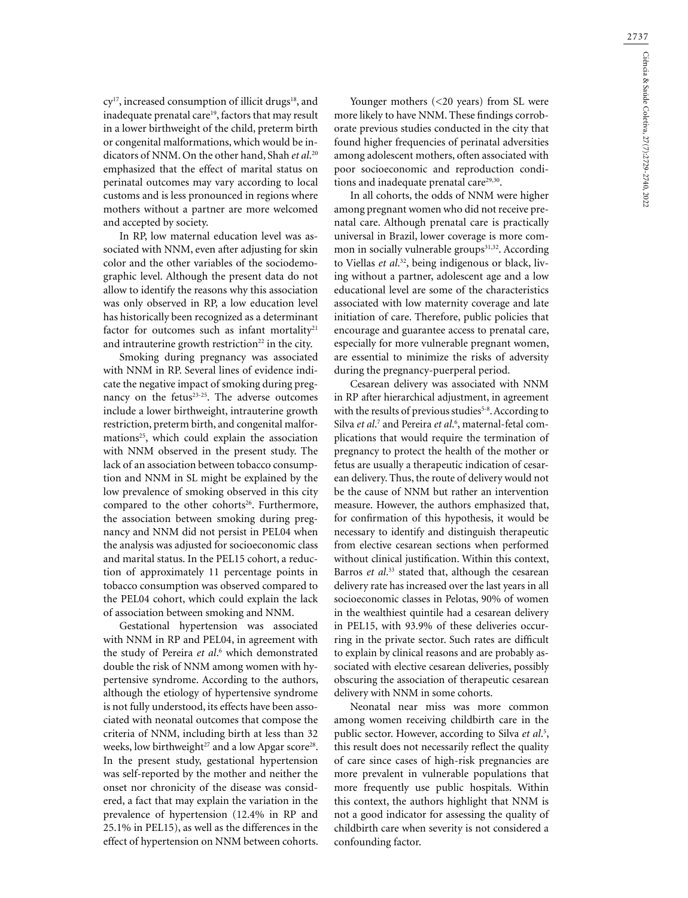cy<sup>17</sup>, increased consumption of illicit drugs<sup>18</sup>, and inadequate prenatal care<sup>19</sup>, factors that may result in a lower birthweight of the child, preterm birth or congenital malformations, which would be indicators of NNM. On the other hand, Shah *et al*. 20 emphasized that the effect of marital status on perinatal outcomes may vary according to local customs and is less pronounced in regions where mothers without a partner are more welcomed and accepted by society.

In RP, low maternal education level was associated with NNM, even after adjusting for skin color and the other variables of the sociodemographic level. Although the present data do not allow to identify the reasons why this association was only observed in RP, a low education level has historically been recognized as a determinant factor for outcomes such as infant mortality<sup>21</sup> and intrauterine growth restriction $22$  in the city.

Smoking during pregnancy was associated with NNM in RP. Several lines of evidence indicate the negative impact of smoking during pregnancy on the fetus<sup>23-25</sup>. The adverse outcomes include a lower birthweight, intrauterine growth restriction, preterm birth, and congenital malformations<sup>25</sup>, which could explain the association with NNM observed in the present study. The lack of an association between tobacco consumption and NNM in SL might be explained by the low prevalence of smoking observed in this city compared to the other cohorts<sup>26</sup>. Furthermore, the association between smoking during pregnancy and NNM did not persist in PEL04 when the analysis was adjusted for socioeconomic class and marital status. In the PEL15 cohort, a reduction of approximately 11 percentage points in tobacco consumption was observed compared to the PEL04 cohort, which could explain the lack of association between smoking and NNM.

Gestational hypertension was associated with NNM in RP and PEL04, in agreement with the study of Pereira et al.<sup>6</sup> which demonstrated double the risk of NNM among women with hypertensive syndrome. According to the authors, although the etiology of hypertensive syndrome is not fully understood, its effects have been associated with neonatal outcomes that compose the criteria of NNM, including birth at less than 32 weeks, low birthweight<sup>27</sup> and a low Apgar score<sup>28</sup>. In the present study, gestational hypertension was self-reported by the mother and neither the onset nor chronicity of the disease was considered, a fact that may explain the variation in the prevalence of hypertension (12.4% in RP and 25.1% in PEL15), as well as the differences in the effect of hypertension on NNM between cohorts.

Younger mothers (<20 years) from SL were more likely to have NNM. These findings corroborate previous studies conducted in the city that found higher frequencies of perinatal adversities among adolescent mothers, often associated with poor socioeconomic and reproduction conditions and inadequate prenatal care<sup>29,30</sup>.

In all cohorts, the odds of NNM were higher among pregnant women who did not receive prenatal care. Although prenatal care is practically universal in Brazil, lower coverage is more common in socially vulnerable groups<sup>31,32</sup>. According to Viellas *et al*. 32, being indigenous or black, living without a partner, adolescent age and a low educational level are some of the characteristics associated with low maternity coverage and late initiation of care. Therefore, public policies that encourage and guarantee access to prenatal care, especially for more vulnerable pregnant women, are essential to minimize the risks of adversity during the pregnancy-puerperal period.

Cesarean delivery was associated with NNM in RP after hierarchical adjustment, in agreement with the results of previous studies<sup>5-8</sup>. According to Silva *et al*.<sup>7</sup> and Pereira *et al*.<sup>6</sup>, maternal-fetal complications that would require the termination of pregnancy to protect the health of the mother or fetus are usually a therapeutic indication of cesarean delivery. Thus, the route of delivery would not be the cause of NNM but rather an intervention measure. However, the authors emphasized that, for confirmation of this hypothesis, it would be necessary to identify and distinguish therapeutic from elective cesarean sections when performed without clinical justification. Within this context, Barros *et al*. 33 stated that, although the cesarean delivery rate has increased over the last years in all socioeconomic classes in Pelotas, 90% of women in the wealthiest quintile had a cesarean delivery in PEL15, with 93.9% of these deliveries occurring in the private sector. Such rates are difficult to explain by clinical reasons and are probably associated with elective cesarean deliveries, possibly obscuring the association of therapeutic cesarean delivery with NNM in some cohorts.

Neonatal near miss was more common among women receiving childbirth care in the public sector. However, according to Silva *et al*. 5 , this result does not necessarily reflect the quality of care since cases of high-risk pregnancies are more prevalent in vulnerable populations that more frequently use public hospitals. Within this context, the authors highlight that NNM is not a good indicator for assessing the quality of childbirth care when severity is not considered a confounding factor.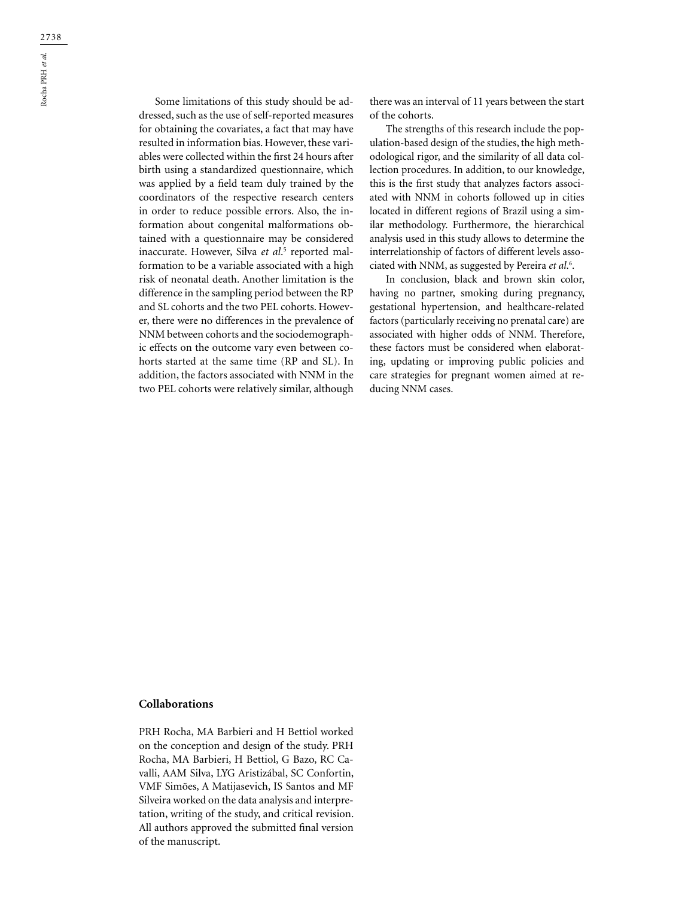Some limitations of this study should be addressed, such as the use of self-reported measures for obtaining the covariates, a fact that may have resulted in information bias. However, these variables were collected within the first 24 hours after birth using a standardized questionnaire, which was applied by a field team duly trained by the coordinators of the respective research centers in order to reduce possible errors. Also, the information about congenital malformations obtained with a questionnaire may be considered inaccurate. However, Silva *et al*.<sup>5</sup> reported malformation to be a variable associated with a high risk of neonatal death. Another limitation is the difference in the sampling period between the RP and SL cohorts and the two PEL cohorts. However, there were no differences in the prevalence of NNM between cohorts and the sociodemographic effects on the outcome vary even between cohorts started at the same time (RP and SL). In addition, the factors associated with NNM in the two PEL cohorts were relatively similar, although

there was an interval of 11 years between the start of the cohorts.

The strengths of this research include the population-based design of the studies, the high methodological rigor, and the similarity of all data collection procedures. In addition, to our knowledge, this is the first study that analyzes factors associated with NNM in cohorts followed up in cities located in different regions of Brazil using a similar methodology. Furthermore, the hierarchical analysis used in this study allows to determine the interrelationship of factors of different levels associated with NNM, as suggested by Pereira *et al*. 6 .

In conclusion, black and brown skin color, having no partner, smoking during pregnancy, gestational hypertension, and healthcare-related factors (particularly receiving no prenatal care) are associated with higher odds of NNM. Therefore, these factors must be considered when elaborating, updating or improving public policies and care strategies for pregnant women aimed at reducing NNM cases.

### **Collaborations**

PRH Rocha, MA Barbieri and H Bettiol worked on the conception and design of the study. PRH Rocha, MA Barbieri, H Bettiol, G Bazo, RC Cavalli, AAM Silva, LYG Aristizábal, SC Confortin, VMF Simões, A Matijasevich, IS Santos and MF Silveira worked on the data analysis and interpretation, writing of the study, and critical revision. All authors approved the submitted final version of the manuscript.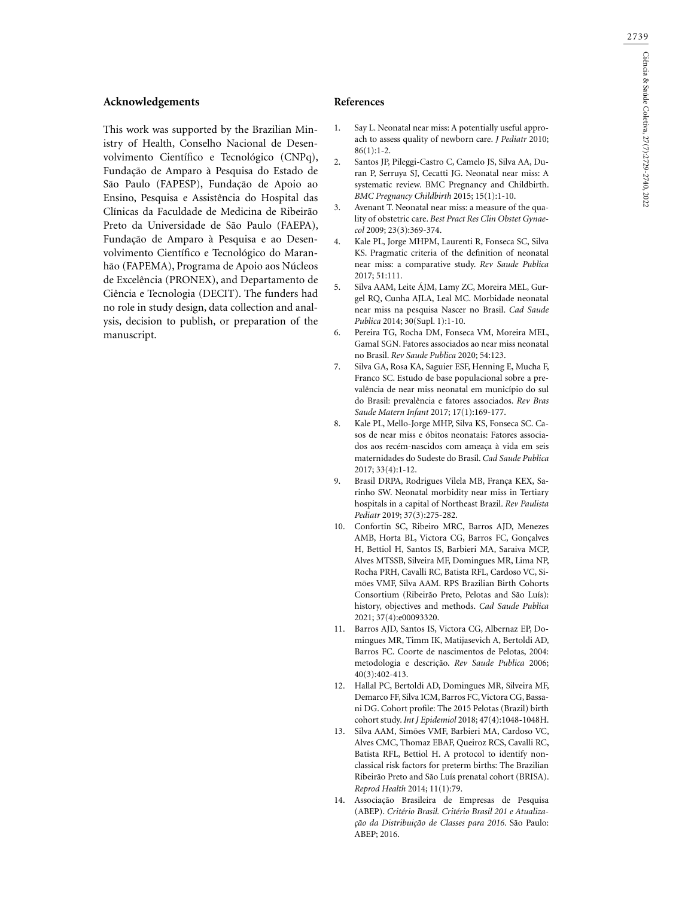#### **Acknowledgements**

This work was supported by the Brazilian Ministry of Health, Conselho Nacional de Desenvolvimento Científico e Tecnológico (CNPq), Fundação de Amparo à Pesquisa do Estado de São Paulo (FAPESP), Fundação de Apoio ao Ensino, Pesquisa e Assistência do Hospital das Clínicas da Faculdade de Medicina de Ribeirão Preto da Universidade de São Paulo (FAEPA), Fundação de Amparo à Pesquisa e ao Desenvolvimento Científico e Tecnológico do Maranhão (FAPEMA), Programa de Apoio aos Núcleos de Excelência (PRONEX), and Departamento de Ciência e Tecnologia (DECIT). The funders had no role in study design, data collection and analysis, decision to publish, or preparation of the manuscript.

#### **References**

- 1. Say L. Neonatal near miss: A potentially useful approach to assess quality of newborn care. *J Pediatr* 2010;  $86(1):1-2.$
- 2. Santos JP, Pileggi-Castro C, Camelo JS, Silva AA, Duran P, Serruya SJ, Cecatti JG. Neonatal near miss: A systematic review. BMC Pregnancy and Childbirth. *BMC Pregnancy Childbirth* 2015; 15(1):1-10.
- 3. Avenant T. Neonatal near miss: a measure of the quality of obstetric care. *Best Pract Res Clin Obstet Gynaecol* 2009; 23(3):369-374.
- 4. Kale PL, Jorge MHPM, Laurenti R, Fonseca SC, Silva KS. Pragmatic criteria of the definition of neonatal near miss: a comparative study. *Rev Saude Publica* 2017; 51:111.
- 5. Silva AAM, Leite ÁJM, Lamy ZC, Moreira MEL, Gurgel RQ, Cunha AJLA, Leal MC. Morbidade neonatal near miss na pesquisa Nascer no Brasil. *Cad Saude Publica* 2014; 30(Supl. 1):1-10.
- 6. Pereira TG, Rocha DM, Fonseca VM, Moreira MEL, GamaI SGN. Fatores associados ao near miss neonatal no Brasil. *Rev Saude Publica* 2020; 54:123.
- 7. Silva GA, Rosa KA, Saguier ESF, Henning E, Mucha F, Franco SC. Estudo de base populacional sobre a prevalência de near miss neonatal em município do sul do Brasil: prevalência e fatores associados. *Rev Bras Saude Matern Infant* 2017; 17(1):169-177.
- 8. Kale PL, Mello-Jorge MHP, Silva KS, Fonseca SC. Casos de near miss e óbitos neonatais: Fatores associados aos recém-nascidos com ameaça à vida em seis maternidades do Sudeste do Brasil. *Cad Saude Publica* 2017; 33(4):1-12.
- 9. Brasil DRPA, Rodrigues Vilela MB, França KEX, Sarinho SW. Neonatal morbidity near miss in Tertiary hospitals in a capital of Northeast Brazil. *Rev Paulista Pediatr* 2019; 37(3):275-282.
- 10. Confortin SC, Ribeiro MRC, Barros AJD, Menezes AMB, Horta BL, Victora CG, Barros FC, Gonçalves H, Bettiol H, Santos IS, Barbieri MA, Saraiva MCP, Alves MTSSB, Silveira MF, Domingues MR, Lima NP, Rocha PRH, Cavalli RC, Batista RFL, Cardoso VC, Simões VMF, Silva AAM. RPS Brazilian Birth Cohorts Consortium (Ribeirão Preto, Pelotas and São Luís): history, objectives and methods. *Cad Saude Publica* 2021; 37(4):e00093320.
- 11. Barros AJD, Santos IS, Victora CG, Albernaz EP, Domingues MR, Timm IK, Matijasevich A, Bertoldi AD, Barros FC. Coorte de nascimentos de Pelotas, 2004: metodologia e descrição. *Rev Saude Publica* 2006; 40(3):402-413.
- 12. Hallal PC, Bertoldi AD, Domingues MR, Silveira MF, Demarco FF, Silva ICM, Barros FC, Victora CG, Bassani DG. Cohort profile: The 2015 Pelotas (Brazil) birth cohort study. *Int J Epidemiol* 2018; 47(4):1048-1048H.
- 13. Silva AAM, Simões VMF, Barbieri MA, Cardoso VC, Alves CMC, Thomaz EBAF, Queiroz RCS, Cavalli RC, Batista RFL, Bettiol H. A protocol to identify nonclassical risk factors for preterm births: The Brazilian Ribeirão Preto and São Luís prenatal cohort (BRISA). *Reprod Health* 2014; 11(1):79.
- 14. Associação Brasileira de Empresas de Pesquisa (ABEP). *Critério Brasil. Critério Brasil 201 e Atualização da Distribuição de Classes para 2016*. São Paulo: ABEP; 2016.